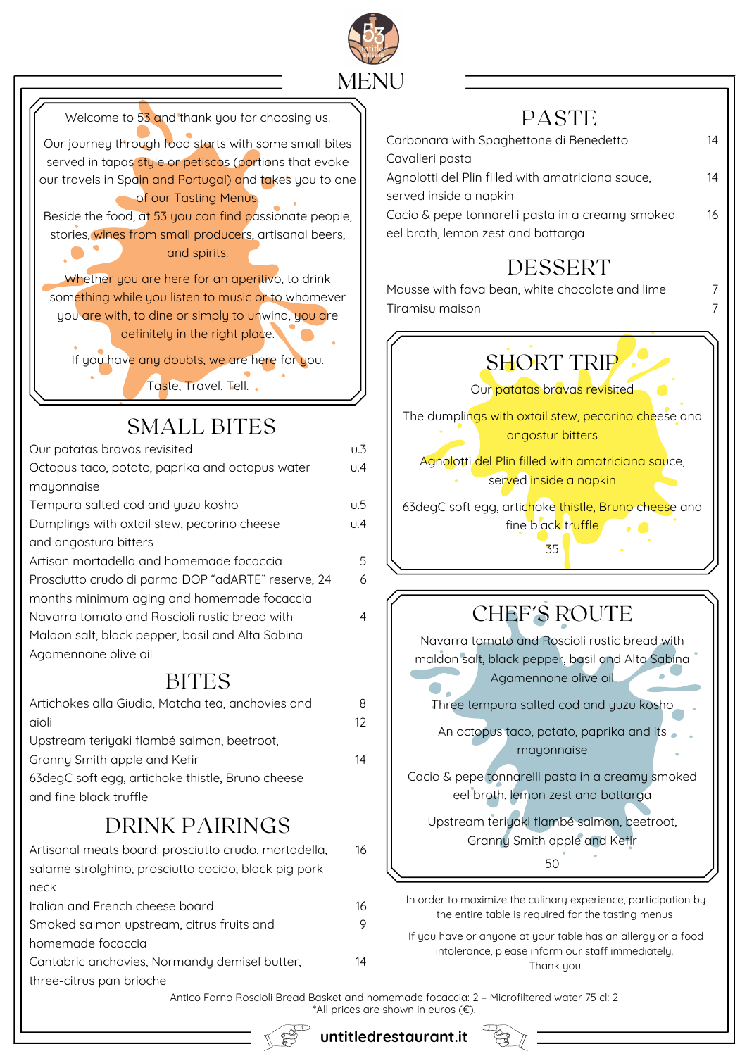

| Welcome to 53 and thank you for choosing us.                                                             |                  | <b>PASTE</b>                                                                                                      |    |
|----------------------------------------------------------------------------------------------------------|------------------|-------------------------------------------------------------------------------------------------------------------|----|
| Our journey through food starts with some small bites                                                    |                  | Carbonara with Spaghettone di Benedetto                                                                           | 14 |
| served in tapas style or petiscos (portions that evoke                                                   |                  | Cavalieri pasta                                                                                                   |    |
| our travels in Spain and Portugal) and takes you to one<br>of our Tasting Menus.                         |                  | Agnolotti del Plin filled with amatriciana sauce,<br>served inside a napkin                                       | 14 |
| Beside the food, at 53 you can find passionate people,                                                   |                  | Cacio & pepe tonnarelli pasta in a creamy smoked                                                                  | 16 |
| stories, wines from small producers, artisanal beers,                                                    |                  | eel broth, lemon zest and bottarga                                                                                |    |
| and spirits.                                                                                             |                  | DESSERT                                                                                                           |    |
| Whether you are here for an aperitivo, to drink                                                          |                  | Mousse with fava bean, white chocolate and lime                                                                   |    |
| something while you listen to music or to whomever<br>you are with, to dine or simply to unwind, you are |                  | Tiramisu maison                                                                                                   |    |
| definitely in the right place.                                                                           |                  |                                                                                                                   |    |
| If you have any doubts, we are here for you.                                                             |                  | <b>SHORT TRIP</b>                                                                                                 |    |
| Taste, Travel, Tell.                                                                                     |                  | Our patatas bravas revisited                                                                                      |    |
| <b>SMALL BITES</b>                                                                                       |                  | The dumplings with oxtail stew, pecorino cheese and<br>angostur bitters                                           |    |
| Our patatas bravas revisited                                                                             | $U.\overline{3}$ | Agnolotti del Plin filled with amatriciana sauce,                                                                 |    |
| Octopus taco, potato, paprika and octopus water                                                          | U.4              | served inside a napkin                                                                                            |    |
| mayonnaise<br>Tempura salted cod and yuzu kosho                                                          | U.5              | 63degC soft egg, artichoke thistle, Bruno cheese and                                                              |    |
| Dumplings with oxtail stew, pecorino cheese                                                              | U.4              | fine black truffle                                                                                                |    |
| and angostura bitters                                                                                    |                  | 35                                                                                                                |    |
| Artisan mortadella and homemade focaccia<br>Prosciutto crudo di parma DOP "adARTE" reserve, 24           | 5<br>6           |                                                                                                                   |    |
| months minimum aging and homemade focaccia                                                               |                  |                                                                                                                   |    |
| Navarra tomato and Roscioli rustic bread with                                                            | 4                | <b>CHEF'S ROUTE</b>                                                                                               |    |
| Maldon salt, black pepper, basil and Alta Sabina                                                         |                  | Navarra tomato and Roscioli rustic bread with                                                                     |    |
| Agamennone olive oil                                                                                     |                  | maldon salt, black pepper, basil and Alta Sabina                                                                  |    |
| <b>BITES</b>                                                                                             |                  | Agamennone olive oil                                                                                              |    |
| Artichokes alla Giudia, Matcha tea, anchovies and<br>aioli                                               | 8<br>12          | Three tempura salted cod and yuzu kosho                                                                           |    |
| Upstream teriyaki flambé salmon, beetroot,                                                               |                  | An octopus taco, potato, paprika and its                                                                          |    |
| Granny Smith apple and Kefir                                                                             | 14               | mayonnaise                                                                                                        |    |
| 63 degC soft egg, artichoke thistle, Bruno cheese                                                        |                  | Cacio & pepe tonnarelli pasta in a creamy smoked                                                                  |    |
| and fine black truffle                                                                                   |                  | eel broth, lemon zest and bottarga                                                                                |    |
| <b>DRINK PAIRINGS</b>                                                                                    |                  | Upstream teriyaki flambé salmon, beetroot,<br>Granny Smith apple and Kefir                                        |    |
| Artisanal meats board: prosciutto crudo, mortadella,                                                     | 16               | 50                                                                                                                |    |
| salame strolghino, prosciutto cocido, black pig pork<br>neck                                             |                  |                                                                                                                   |    |
| Italian and French cheese board                                                                          | 16               | In order to maximize the culinary experience, participation by                                                    |    |
| Smoked salmon upstream, citrus fruits and                                                                | 9                | the entire table is required for the tasting menus                                                                |    |
| homemade focaccia                                                                                        |                  | If you have or anyone at your table has an allergy or a food<br>intolerance, please inform our staff immediately. |    |
| Cantabric anchovies, Normandy demisel butter,<br>three-citrus pan brioche                                | 14               | Thank you.                                                                                                        |    |

Antico Forno Roscioli Bread Basket and homemade focaccia: 2 – Microfiltered water 75 cl: 2 \*All prices are shown in euros (€).



**untitledrestaurant.it**

 $\begin{picture}(120,140) \put(0,0){\line(1,0){10}} \put(15,0){\line(1,0){10}} \put(15,0){\line(1,0){10}} \put(15,0){\line(1,0){10}} \put(15,0){\line(1,0){10}} \put(15,0){\line(1,0){10}} \put(15,0){\line(1,0){10}} \put(15,0){\line(1,0){10}} \put(15,0){\line(1,0){10}} \put(15,0){\line(1,0){10}} \put(15,0){\line(1,0){10}} \put(15,0){\line$